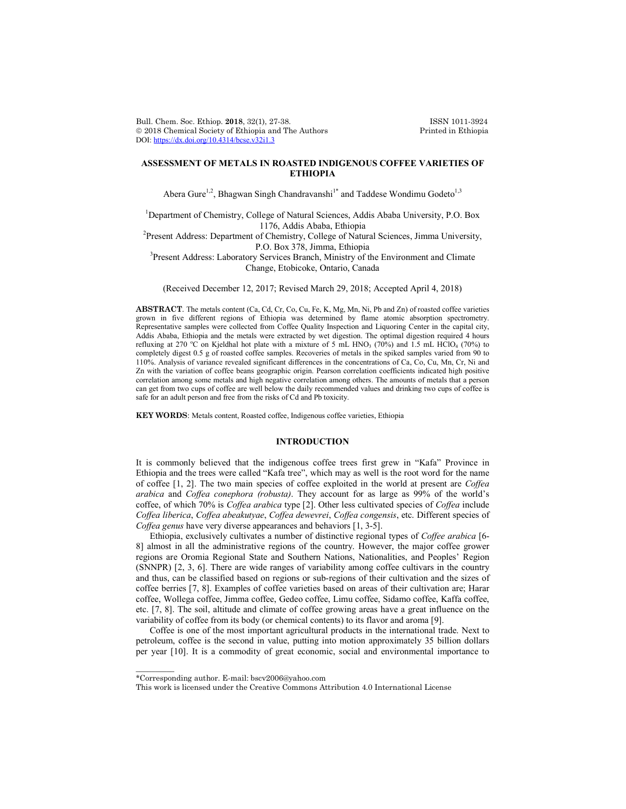Bull. Chem. Soc. Ethiop. 2018, 32(1), 27-38. ISSN 1011-3924<br>
© 2018 Chemical Society of Ethiopia and The Authors Printed in Ethiopia  $© 2018 Chemical Society of Ethiopia and The Authors$ DOI: https://dx.doi.org/10.4314/bcse.v32i1.3

# **ASSESSMENT OF METALS IN ROASTED INDIGENOUS COFFEE VARIETIES OF ETHIOPIA**

Abera Gure<sup>1,2</sup>, Bhagwan Singh Chandravanshi<sup>1\*</sup> and Taddese Wondimu Godeto<sup>1,3</sup>

<sup>1</sup>Department of Chemistry, College of Natural Sciences, Addis Ababa University, P.O. Box

1176, Addis Ababa, Ethiopia<br><sup>2</sup>Present Address: Department of Chemistry, College of Natural Sciences, Jimma University, P.O. Box 378, Jimma, Ethiopia<br><sup>3</sup> Present Address: Laboratory Services Branch, Ministry of the Environment and Climate

Change, Etobicoke, Ontario, Canada

(Received December 12, 2017; Revised March 29, 2018; Accepted April 4, 2018)

**ABSTRACT**. The metals content (Ca, Cd, Cr, Co, Cu, Fe, K, Mg, Mn, Ni, Pb and Zn) of roasted coffee varieties grown in five different regions of Ethiopia was determined by flame atomic absorption spectrometry. Representative samples were collected from Coffee Quality Inspection and Liquoring Center in the capital city, Addis Ababa, Ethiopia and the metals were extracted by wet digestion. The optimal digestion required 4 hours refluxing at 270 °C on Kjeldhal hot plate with a mixture of 5 mL HNO<sub>3</sub> (70%) and 1.5 mL HClO<sub>4</sub> (70%) to completely digest 0.5 g of roasted coffee samples. Recoveries of metals in the spiked samples varied from 90 to 110%. Analysis of variance revealed significant differences in the concentrations of Ca, Co, Cu, Mn, Cr, Ni and Zn with the variation of coffee beans geographic origin. Pearson correlation coefficients indicated high positive correlation among some metals and high negative correlation among others. The amounts of metals that a person can get from two cups of coffee are well below the daily recommended values and drinking two cups of coffee is safe for an adult person and free from the risks of Cd and Pb toxicity.

**KEY WORDS**: Metals content, Roasted coffee, Indigenous coffee varieties, Ethiopia

## **INTRODUCTION**

It is commonly believed that the indigenous coffee trees first grew in "Kafa" Province in Ethiopia and the trees were called "Kafa tree", which may as well is the root word for the name of coffee [1, 2]. The two main species of coffee exploited in the world at present are *Coffea arabica* and *Coffea conephora (robusta)*. They account for as large as 99% of the world's coffee, of which 70% is *Coffea arabica* type [2]. Other less cultivated species of *Coffea* include *Coffea liberica*, *Coffea abeakutyae*, *Coffea dewevrei*, *Coffea congensis*, etc. Different species of *Coffea genus* have very diverse appearances and behaviors [1, 3-5].

Ethiopia, exclusively cultivates a number of distinctive regional types of *Coffee arabica* [6- 8] almost in all the administrative regions of the country. However, the major coffee grower regions are Oromia Regional State and Southern Nations, Nationalities, and Peoples' Region (SNNPR) [2, 3, 6]. There are wide ranges of variability among coffee cultivars in the country and thus, can be classified based on regions or sub-regions of their cultivation and the sizes of coffee berries [7, 8]. Examples of coffee varieties based on areas of their cultivation are; Harar coffee, Wollega coffee, Jimma coffee, Gedeo coffee, Limu coffee, Sidamo coffee, Kaffa coffee, etc. [7, 8]. The soil, altitude and climate of coffee growing areas have a great influence on the variability of coffee from its body (or chemical contents) to its flavor and aroma [9].

Coffee is one of the most important agricultural products in the international trade. Next to petroleum, coffee is the second in value, putting into motion approximately 35 billion dollars per year [10]. It is a commodity of great economic, social and environmental importance to

 $\overline{\phantom{a}}$ 

<sup>\*</sup>Corresponding author. E-mail: bscv2006@yahoo.com

This work is licensed under the Creative Commons Attribution 4.0 International License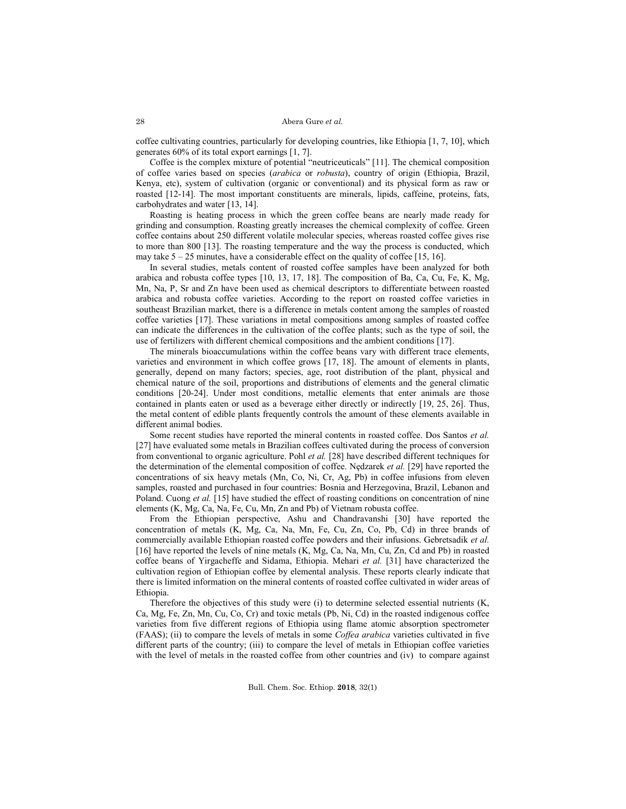coffee cultivating countries, particularly for developing countries, like Ethiopia [1, 7, 10], which generates 60% of its total export earnings [1, 7].

Coffee is the complex mixture of potential "neutriceuticals" [11]. The chemical composition of coffee varies based on species (*arabica* or *robusta*), country of origin (Ethiopia, Brazil, Kenya, etc), system of cultivation (organic or conventional) and its physical form as raw or roasted [12-14]. The most important constituents are minerals, lipids, caffeine, proteins, fats, carbohydrates and water [13, 14].

Roasting is heating process in which the green coffee beans are nearly made ready for grinding and consumption. Roasting greatly increases the chemical complexity of coffee. Green coffee contains about 250 different volatile molecular species, whereas roasted coffee gives rise to more than 800 [13]. The roasting temperature and the way the process is conducted, which may take  $5 - 25$  minutes, have a considerable effect on the quality of coffee [15, 16].

In several studies, metals content of roasted coffee samples have been analyzed for both arabica and robusta coffee types [10, 13, 17, 18]. The composition of Ba, Ca, Cu, Fe, K, Mg, Mn, Na, P, Sr and Zn have been used as chemical descriptors to differentiate between roasted arabica and robusta coffee varieties. According to the report on roasted coffee varieties in southeast Brazilian market, there is a difference in metals content among the samples of roasted coffee varieties [17]. These variations in metal compositions among samples of roasted coffee can indicate the differences in the cultivation of the coffee plants; such as the type of soil, the use of fertilizers with different chemical compositions and the ambient conditions [17].

The minerals bioaccumulations within the coffee beans vary with different trace elements, varieties and environment in which coffee grows [17, 18]. The amount of elements in plants, generally, depend on many factors; species, age, root distribution of the plant, physical and chemical nature of the soil, proportions and distributions of elements and the general climatic conditions [20-24]. Under most conditions, metallic elements that enter animals are those contained in plants eaten or used as a beverage either directly or indirectly [19, 25, 26]. Thus, the metal content of edible plants frequently controls the amount of these elements available in different animal bodies.

Some recent studies have reported the mineral contents in roasted coffee. Dos Santos *et al.* [27] have evaluated some metals in Brazilian coffees cultivated during the process of conversion from conventional to organic agriculture. Pohl *et al.* [28] have described different techniques for the determination of the elemental composition of coffee. Nędzarek *et al.* [29] have reported the concentrations of six heavy metals (Mn, Co, Ni, Cr, Ag, Pb) in coffee infusions from eleven samples, roasted and purchased in four countries: Bosnia and Herzegovina, Brazil, Lebanon and Poland. Cuong *et al.* [15] have studied the effect of roasting conditions on concentration of nine elements (K, Mg, Ca, Na, Fe, Cu, Mn, Zn and Pb) of Vietnam robusta coffee.

From the Ethiopian perspective, Ashu and Chandravanshi [30] have reported the concentration of metals (K, Mg, Ca, Na, Mn, Fe, Cu, Zn, Co, Pb, Cd) in three brands of commercially available Ethiopian roasted coffee powders and their infusions. Gebretsadik *et al.* [16] have reported the levels of nine metals (K, Mg, Ca, Na, Mn, Cu, Zn, Cd and Pb) in roasted coffee beans of Yirgacheffe and Sidama, Ethiopia. Mehari *et al.* [31] have characterized the cultivation region of Ethiopian coffee by elemental analysis. These reports clearly indicate that there is limited information on the mineral contents of roasted coffee cultivated in wider areas of Ethiopia.

Therefore the objectives of this study were (i) to determine selected essential nutrients (K, Ca, Mg, Fe, Zn, Mn, Cu, Co, Cr) and toxic metals (Pb, Ni, Cd) in the roasted indigenous coffee varieties from five different regions of Ethiopia using flame atomic absorption spectrometer (FAAS); (ii) to compare the levels of metals in some *Coffea arabica* varieties cultivated in five different parts of the country; (iii) to compare the level of metals in Ethiopian coffee varieties with the level of metals in the roasted coffee from other countries and (iv) to compare against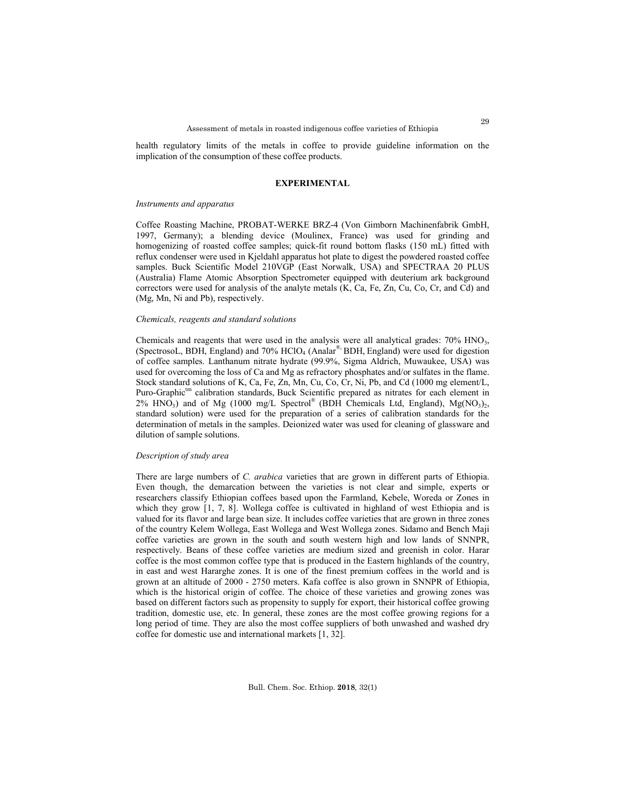health regulatory limits of the metals in coffee to provide guideline information on the implication of the consumption of these coffee products.

#### **EXPERIMENTAL**

### *Instruments and apparatus*

Coffee Roasting Machine, PROBAT-WERKE BRZ-4 (Von Gimborn Machinenfabrik GmbH, 1997, Germany); a blending device (Moulinex, France) was used for grinding and homogenizing of roasted coffee samples; quick-fit round bottom flasks (150 mL) fitted with reflux condenser were used in Kjeldahl apparatus hot plate to digest the powdered roasted coffee samples. Buck Scientific Model 210VGP (East Norwalk, USA) and SPECTRAA 20 PLUS (Australia) Flame Atomic Absorption Spectrometer equipped with deuterium ark background correctors were used for analysis of the analyte metals (K, Ca, Fe, Zn, Cu, Co, Cr, and Cd) and (Mg, Mn, Ni and Pb), respectively.

## *Chemicals, reagents and standard solutions*

Chemicals and reagents that were used in the analysis were all analytical grades:  $70\%$  HNO<sub>3</sub>, (SpectrosoL, BDH, England) and  $70\%$  HClO<sub>4</sub> (Analar<sup>®,</sup> BDH, England) were used for digestion of coffee samples. Lanthanum nitrate hydrate (99.9%, Sigma Aldrich, Muwaukee, USA) was used for overcoming the loss of Ca and Mg as refractory phosphates and/or sulfates in the flame. Stock standard solutions of K, Ca, Fe, Zn, Mn, Cu, Co, Cr, Ni, Pb, and Cd (1000 mg element/L, Puro-Graphic<sup>tm</sup> calibration standards, Buck Scientific prepared as nitrates for each element in  $2\%$  HNO<sub>3</sub>) and of Mg (1000 mg/L Spectrol<sup>®</sup> (BDH Chemicals Ltd, England), Mg(NO<sub>3</sub>)<sub>2</sub>, standard solution) were used for the preparation of a series of calibration standards for the determination of metals in the samples. Deionized water was used for cleaning of glassware and dilution of sample solutions.

### *Description of study area*

There are large numbers of *C. arabica* varieties that are grown in different parts of Ethiopia. Even though, the demarcation between the varieties is not clear and simple, experts or researchers classify Ethiopian coffees based upon the Farmland, Kebele, Woreda or Zones in which they grow [1, 7, 8]. Wollega coffee is cultivated in highland of west Ethiopia and is valued for its flavor and large bean size. It includes coffee varieties that are grown in three zones of the country Kelem Wollega, East Wollega and West Wollega zones. Sidamo and Bench Maji coffee varieties are grown in the south and south western high and low lands of SNNPR, respectively. Beans of these coffee varieties are medium sized and greenish in color. Harar coffee is the most common coffee type that is produced in the Eastern highlands of the country, in east and west Hararghe zones. It is one of the finest premium coffees in the world and is grown at an altitude of 2000 - 2750 meters. Kafa coffee is also grown in SNNPR of Ethiopia, which is the historical origin of coffee. The choice of these varieties and growing zones was based on different factors such as propensity to supply for export, their historical coffee growing tradition, domestic use, etc. In general, these zones are the most coffee growing regions for a long period of time. They are also the most coffee suppliers of both unwashed and washed dry coffee for domestic use and international markets [1, 32].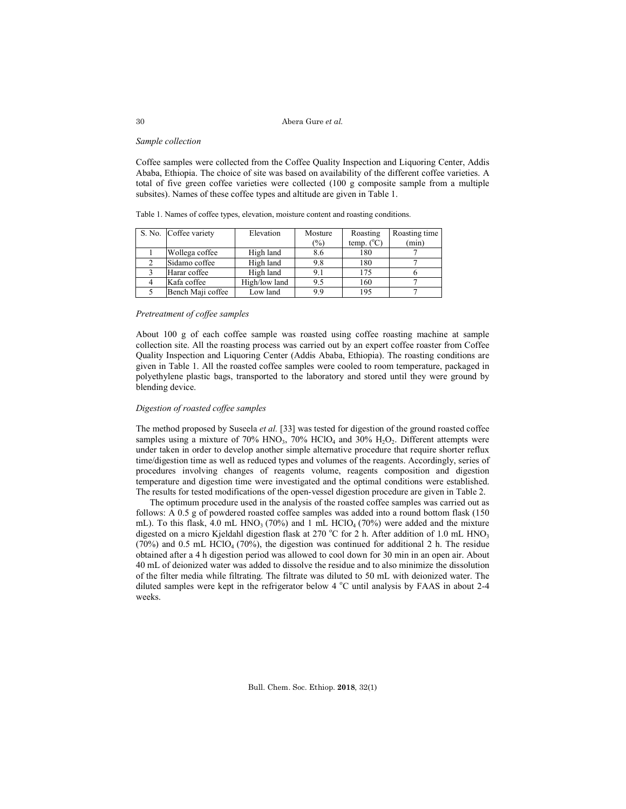#### *Sample collection*

Coffee samples were collected from the Coffee Quality Inspection and Liquoring Center, Addis Ababa, Ethiopia. The choice of site was based on availability of the different coffee varieties. A total of five green coffee varieties were collected (100 g composite sample from a multiple subsites). Names of these coffee types and altitude are given in Table 1.

Table 1. Names of coffee types, elevation, moisture content and roasting conditions.

| S. No. Coffee variety | Elevation     | Mosture | Roasting            | Roasting time |
|-----------------------|---------------|---------|---------------------|---------------|
|                       |               | (%)     | temp. $(^{\circ}C)$ | (min)         |
| Wollega coffee        | High land     | 8.6     | 180                 |               |
| Sidamo coffee         | High land     | 9.8     | 180                 |               |
| Harar coffee          | High land     | 9.1     | 175                 |               |
| Kafa coffee           | High/low land | 9.5     | 160                 |               |
| Bench Maji coffee     | Low land      | 9.9     | 195                 |               |

## *Pretreatment of coffee samples*

About 100 g of each coffee sample was roasted using coffee roasting machine at sample collection site. All the roasting process was carried out by an expert coffee roaster from Coffee Quality Inspection and Liquoring Center (Addis Ababa, Ethiopia). The roasting conditions are given in Table 1. All the roasted coffee samples were cooled to room temperature, packaged in polyethylene plastic bags, transported to the laboratory and stored until they were ground by blending device.

## *Digestion of roasted coffee samples*

The method proposed by Suseela *et al.* [33] was tested for digestion of the ground roasted coffee samples using a mixture of 70% HNO<sub>3</sub>, 70% HClO<sub>4</sub> and 30% H<sub>2</sub>O<sub>2</sub>. Different attempts were under taken in order to develop another simple alternative procedure that require shorter reflux time/digestion time as well as reduced types and volumes of the reagents. Accordingly, series of procedures involving changes of reagents volume, reagents composition and digestion temperature and digestion time were investigated and the optimal conditions were established. The results for tested modifications of the open-vessel digestion procedure are given in Table 2.

The optimum procedure used in the analysis of the roasted coffee samples was carried out as follows: A 0.5 g of powdered roasted coffee samples was added into a round bottom flask (150 mL). To this flask, 4.0 mL HNO<sub>3</sub> (70%) and 1 mL HClO<sub>4</sub> (70%) were added and the mixture digested on a micro Kjeldahl digestion flask at 270 °C for 2 h. After addition of 1.0 mL HNO<sub>3</sub>  $(70%)$  and 0.5 mL HClO<sub>4</sub> (70%), the digestion was continued for additional 2 h. The residue obtained after a 4 h digestion period was allowed to cool down for 30 min in an open air. About 40 mL of deionized water was added to dissolve the residue and to also minimize the dissolution of the filter media while filtrating. The filtrate was diluted to 50 mL with deionized water. The diluted samples were kept in the refrigerator below 4  $^{\circ}$ C until analysis by FAAS in about 2-4 weeks.

30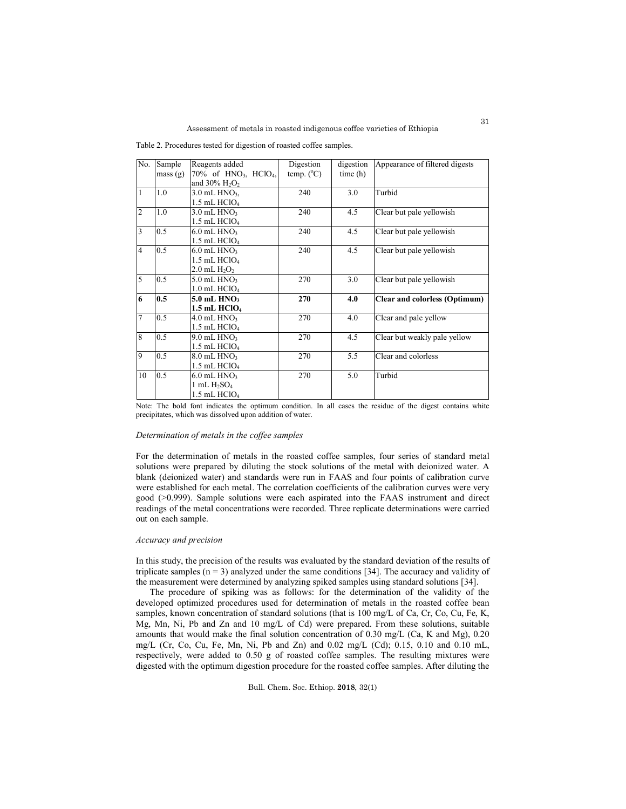Table 2. Procedures tested for digestion of roasted coffee samples.

| No.            | Sample  | Reagents added                           | Digestion           | digestion | Appearance of filtered digests       |
|----------------|---------|------------------------------------------|---------------------|-----------|--------------------------------------|
|                | mass(g) | $70\%$ of $HNO3$ , $HClO4$ ,             | temp. $(^{\circ}C)$ | time(h)   |                                      |
|                |         | and $30\%$ H <sub>2</sub> O <sub>2</sub> |                     |           |                                      |
| $\overline{1}$ | 1.0     | $3.0$ mL HNO <sub>3</sub> ,              | 240                 | 3.0       | Turbid                               |
|                |         | $1.5$ mL HClO <sub>4</sub>               |                     |           |                                      |
| $\overline{2}$ | 1.0     | $3.0$ mL HNO <sub>3</sub>                | 240                 | 4.5       | Clear but pale yellowish             |
|                |         | $1.5$ mL HClO <sub>4</sub>               |                     |           |                                      |
| $\overline{3}$ | 0.5     | $6.0$ mL HNO <sub>3</sub>                | 240                 | 4.5       | Clear but pale yellowish             |
|                |         | $1.5$ mL HClO <sub>4</sub>               |                     |           |                                      |
| $\overline{4}$ | 0.5     | $6.0$ mL HNO <sub>3</sub>                | 240                 | 4.5       | Clear but pale yellowish             |
|                |         | 1.5 mL $HCIO4$                           |                     |           |                                      |
|                |         | $2.0$ mL $H_2O_2$                        |                     |           |                                      |
| 5              | 0.5     | $5.0$ mL HNO <sub>3</sub>                | 270                 | 3.0       | Clear but pale yellowish             |
|                |         | $1.0$ mL $HCIO4$                         |                     |           |                                      |
| 6              | 0.5     | $5.0$ mL $HNO3$                          | 270                 | 4.0       | <b>Clear and colorless (Optimum)</b> |
|                |         | $1.5$ mL HClO <sub>4</sub>               |                     |           |                                      |
| $\overline{7}$ | 0.5     | $4.0$ mL HNO <sub>3</sub>                | 270                 | 4.0       | Clear and pale yellow                |
|                |         | $1.5$ mL HClO <sub>4</sub>               |                     |           |                                      |
| 8              | 0.5     | $9.0$ mL HNO <sub>3</sub>                | 270                 | 4.5       | Clear but weakly pale yellow         |
|                |         | $1.5$ mL HClO <sub>4</sub>               |                     |           |                                      |
| 9              | 0.5     | $8.0$ mL HNO <sub>3</sub>                | 270                 | 5.5       | Clear and colorless                  |
|                |         | $1.5$ mL HClO <sub>4</sub>               |                     |           |                                      |
| 10             | 0.5     | $6.0$ mL HNO <sub>3</sub>                | 270                 | 5.0       | Turbid                               |
|                |         | 1 mL $H_2SO_4$                           |                     |           |                                      |
|                |         | $1.5$ mL HClO <sub>4</sub>               |                     |           |                                      |

Note: The bold font indicates the optimum condition. In all cases the residue of the digest contains white precipitates, which was dissolved upon addition of water.

### *Determination of metals in the coffee samples*

For the determination of metals in the roasted coffee samples, four series of standard metal solutions were prepared by diluting the stock solutions of the metal with deionized water. A blank (deionized water) and standards were run in FAAS and four points of calibration curve were established for each metal. The correlation coefficients of the calibration curves were very good (>0.999). Sample solutions were each aspirated into the FAAS instrument and direct readings of the metal concentrations were recorded. Three replicate determinations were carried out on each sample.

## *Accuracy and precision*

In this study, the precision of the results was evaluated by the standard deviation of the results of triplicate samples ( $n = 3$ ) analyzed under the same conditions [34]. The accuracy and validity of the measurement were determined by analyzing spiked samples using standard solutions [34].

The procedure of spiking was as follows: for the determination of the validity of the developed optimized procedures used for determination of metals in the roasted coffee bean samples, known concentration of standard solutions (that is 100 mg/L of Ca, Cr, Co, Cu, Fe, K, Mg, Mn, Ni, Pb and Zn and 10 mg/L of Cd) were prepared. From these solutions, suitable amounts that would make the final solution concentration of 0.30 mg/L (Ca, K and Mg), 0.20 mg/L (Cr, Co, Cu, Fe, Mn, Ni, Pb and Zn) and 0.02 mg/L (Cd); 0.15, 0.10 and 0.10 mL, respectively, were added to 0.50 g of roasted coffee samples. The resulting mixtures were digested with the optimum digestion procedure for the roasted coffee samples. After diluting the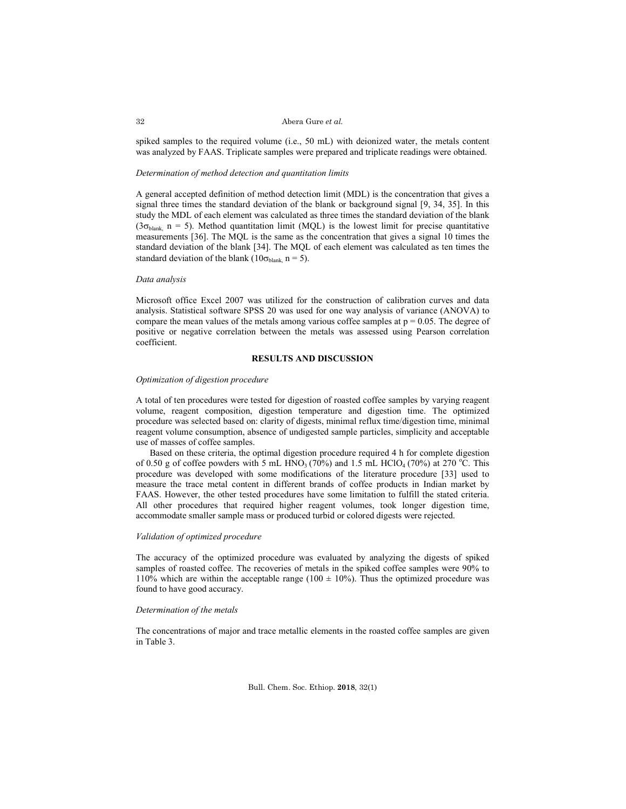spiked samples to the required volume (i.e., 50 mL) with deionized water, the metals content was analyzed by FAAS. Triplicate samples were prepared and triplicate readings were obtained.

## *Determination of method detection and quantitation limits*

A general accepted definition of method detection limit (MDL) is the concentration that gives a signal three times the standard deviation of the blank or background signal [9, 34, 35]. In this study the MDL of each element was calculated as three times the standard deviation of the blank  $(3\sigma_{\text{blank}}\ n = 5)$ . Method quantitation limit (MQL) is the lowest limit for precise quantitative measurements [36]. The MQL is the same as the concentration that gives a signal 10 times the standard deviation of the blank [34]. The MQL of each element was calculated as ten times the standard deviation of the blank (10 $\sigma_{\text{blank}}$ , n = 5).

### *Data analysis*

Microsoft office Excel 2007 was utilized for the construction of calibration curves and data analysis. Statistical software SPSS 20 was used for one way analysis of variance (ANOVA) to compare the mean values of the metals among various coffee samples at  $p = 0.05$ . The degree of positive or negative correlation between the metals was assessed using Pearson correlation coefficient.

## **RESULTS AND DISCUSSION**

#### *Optimization of digestion procedure*

A total of ten procedures were tested for digestion of roasted coffee samples by varying reagent volume, reagent composition, digestion temperature and digestion time. The optimized procedure was selected based on: clarity of digests, minimal reflux time/digestion time, minimal reagent volume consumption, absence of undigested sample particles, simplicity and acceptable use of masses of coffee samples.

Based on these criteria, the optimal digestion procedure required 4 h for complete digestion of 0.50 g of coffee powders with 5 mL HNO<sub>3</sub> (70%) and 1.5 mL HClO<sub>4</sub> (70%) at 270 °C. This procedure was developed with some modifications of the literature procedure [33] used to measure the trace metal content in different brands of coffee products in Indian market by FAAS. However, the other tested procedures have some limitation to fulfill the stated criteria. All other procedures that required higher reagent volumes, took longer digestion time, accommodate smaller sample mass or produced turbid or colored digests were rejected.

### *Validation of optimized procedure*

The accuracy of the optimized procedure was evaluated by analyzing the digests of spiked samples of roasted coffee. The recoveries of metals in the spiked coffee samples were 90% to 110% which are within the acceptable range (100  $\pm$  10%). Thus the optimized procedure was found to have good accuracy.

#### *Determination of the metals*

The concentrations of major and trace metallic elements in the roasted coffee samples are given in Table 3.

32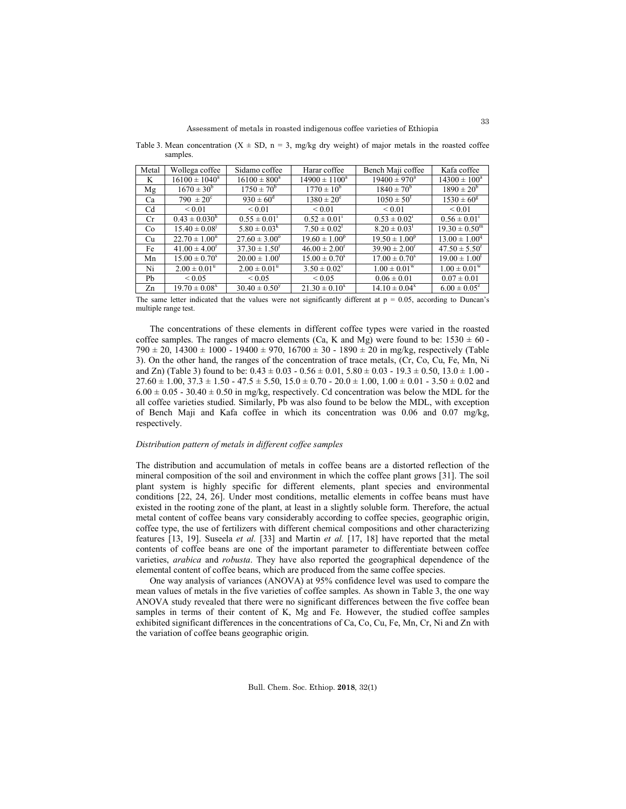Assessment of metals in roasted indigenous coffee varieties of Ethiopia

| Metal          | Wollega coffee                | Sidamo coffee                | Harar coffee                 | Bench Maji coffee        | Kafa coffee                  |
|----------------|-------------------------------|------------------------------|------------------------------|--------------------------|------------------------------|
| K              | $16100 \pm 1040^a$            | $16100 \pm 800^a$            | $14900 \pm 1100^a$           | $19400 \pm 970^{\circ}$  | $14300 \pm 100^a$            |
| Mg             | $1670 \pm 30^6$               | $1750 \pm 70^6$              | $1770 \pm 10^6$              | $1840 \pm 70^6$          | $1890 \pm 20^6$              |
| Ca             | $790 \pm 20^{\circ}$          | $930 \pm 60^{\circ}$         | $1380 \pm 20^e$              | $1050 \pm 50^{\text{t}}$ | $1530 \pm 60^8$              |
| C <sub>d</sub> | ${}_{0.01}$                   | ${}_{0.01}$                  | ${}_{0.01}$                  | ${}_{0.01}$              | ${}_{0.01}$                  |
| <b>Cr</b>      | $0.43 \pm 0.030^{\rm h}$      | $0.55 \pm 0.01^{\mathrm{i}}$ | $0.52 \pm 0.01^{\mathrm{i}}$ | $0.53 \pm 0.02^1$        | $0.56 \pm 0.01$ <sup>1</sup> |
| C <sub>o</sub> | $15.40 \pm 0.08$ <sup>1</sup> | $5.80 \pm 0.03^k$            | $7.50 \pm 0.02^1$            | $8.20 \pm 0.03$          | $19.30 \pm 0.50^{\rm m}$     |
| Cu             | $22.70 \pm 1.00^{\circ}$      | $27.60 \pm 3.00^{\circ}$     | $19.60 \pm 1.00^p$           | $19.50 \pm 1.00^p$       | $13.00 \pm 1.00^q$           |
| Fe             | $41.00 \pm 4.00^r$            | $37.30 \pm 1.50^r$           | $46.00 \pm 2.00^r$           | $39.90 \pm 2.00^r$       | $47.50 \pm 5.50^{\circ}$     |
| Mn             | $15.00 \pm 0.70^s$            | $20.00 \pm 1.00^t$           | $15.00 \pm 0.70^s$           | $17.00 \pm 0.70^s$       | $19.00 \pm 1.00^t$           |
| Ni             | $2.00 \pm 0.01^u$             | $2.00 \pm 0.01$ <sup>u</sup> | $3.50 \pm 0.02^{\circ}$      | $1.00 \pm 0.01^w$        | $1.00 \pm 0.01^w$            |
| Pb             | ${}_{0.05}$                   | ${}_{0.05}$                  | ${}_{0.05}$                  | $0.06 \pm 0.01$          | $0.07 \pm 0.01$              |
| Zn             | $19.70 \pm 0.08^x$            | $30.40 \pm 0.50^y$           | $21.30 \pm 0.10^x$           | $14.10 \pm 0.04^x$       | $6.00 \pm 0.05^z$            |

Table 3. Mean concentration  $(X \pm SD, n = 3, mg/kg$  dry weight) of major metals in the roasted coffee samples.

The same letter indicated that the values were not significantly different at  $p = 0.05$ , according to Duncan's multiple range test.

The concentrations of these elements in different coffee types were varied in the roasted coffee samples. The ranges of macro elements (Ca, K and Mg) were found to be:  $1530 \pm 60$  - $790 \pm 20$ ,  $14300 \pm 1000$  -  $19400 \pm 970$ ,  $16700 \pm 30$  -  $1890 \pm 20$  in mg/kg, respectively (Table 3). On the other hand, the ranges of the concentration of trace metals, (Cr, Co, Cu, Fe, Mn, Ni and Zn) (Table 3) found to be:  $0.43 \pm 0.03 - 0.56 \pm 0.01$ ,  $5.80 \pm 0.03 - 19.3 \pm 0.50$ ,  $13.0 \pm 1.00 27.60 \pm 1.00$ ,  $37.3 \pm 1.50 - 47.5 \pm 5.50$ ,  $15.0 \pm 0.70 - 20.0 \pm 1.00$ ,  $1.00 \pm 0.01 - 3.50 \pm 0.02$  and  $6.00 \pm 0.05$  - 30.40  $\pm$  0.50 in mg/kg, respectively. Cd concentration was below the MDL for the all coffee varieties studied. Similarly, Pb was also found to be below the MDL, with exception of Bench Maji and Kafa coffee in which its concentration was 0.06 and 0.07 mg/kg, respectively.

## *Distribution pattern of metals in different coffee samples*

The distribution and accumulation of metals in coffee beans are a distorted reflection of the mineral composition of the soil and environment in which the coffee plant grows [31]. The soil plant system is highly specific for different elements, plant species and environmental conditions [22, 24, 26]. Under most conditions, metallic elements in coffee beans must have existed in the rooting zone of the plant, at least in a slightly soluble form. Therefore, the actual metal content of coffee beans vary considerably according to coffee species, geographic origin, coffee type, the use of fertilizers with different chemical compositions and other characterizing features [13, 19]. Suseela *et al.* [33] and Martin *et al.* [17, 18] have reported that the metal contents of coffee beans are one of the important parameter to differentiate between coffee varieties, *arabica* and *robusta*. They have also reported the geographical dependence of the elemental content of coffee beans, which are produced from the same coffee species.

One way analysis of variances (ANOVA) at 95% confidence level was used to compare the mean values of metals in the five varieties of coffee samples. As shown in Table 3, the one way ANOVA study revealed that there were no significant differences between the five coffee bean samples in terms of their content of K, Mg and Fe. However, the studied coffee samples exhibited significant differences in the concentrations of Ca, Co, Cu, Fe, Mn, Cr, Ni and Zn with the variation of coffee beans geographic origin.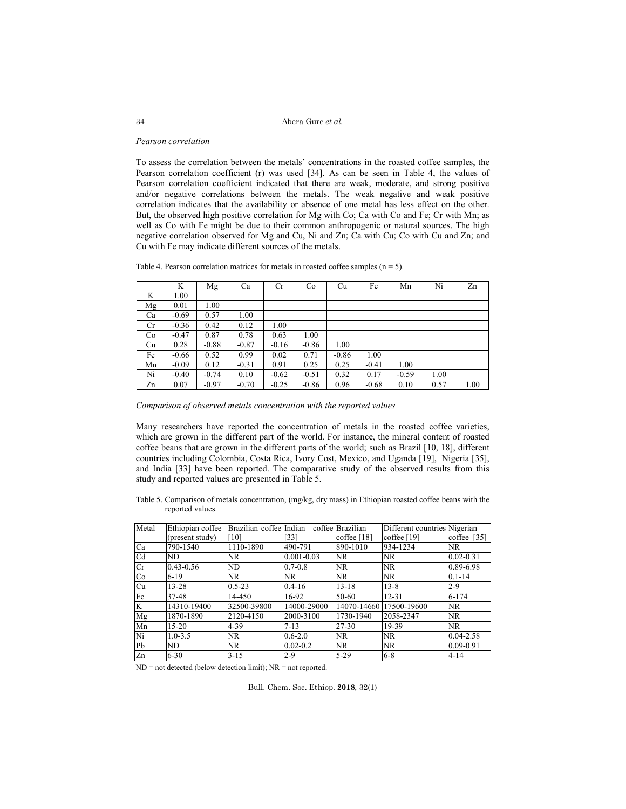```
Abera Gure et al.
```
### *Pearson correlation*

To assess the correlation between the metals' concentrations in the roasted coffee samples, the Pearson correlation coefficient (r) was used [34]. As can be seen in Table 4, the values of Pearson correlation coefficient indicated that there are weak, moderate, and strong positive and/or negative correlations between the metals. The weak negative and weak positive correlation indicates that the availability or absence of one metal has less effect on the other. But, the observed high positive correlation for Mg with Co; Ca with Co and Fe; Cr with Mn; as well as Co with Fe might be due to their common anthropogenic or natural sources. The high negative correlation observed for Mg and Cu, Ni and Zn; Ca with Cu; Co with Cu and Zn; and Cu with Fe may indicate different sources of the metals.

|    | K       | Mg      | Ca      | Cr      | Co      | Cu      | Fe      | Mn      | Ni   | Zn   |
|----|---------|---------|---------|---------|---------|---------|---------|---------|------|------|
| K  | 1.00    |         |         |         |         |         |         |         |      |      |
| Mg | 0.01    | 1.00    |         |         |         |         |         |         |      |      |
| Ca | $-0.69$ | 0.57    | 1.00    |         |         |         |         |         |      |      |
| Cr | $-0.36$ | 0.42    | 0.12    | 1.00    |         |         |         |         |      |      |
| Co | $-0.47$ | 0.87    | 0.78    | 0.63    | 1.00    |         |         |         |      |      |
| Cu | 0.28    | $-0.88$ | $-0.87$ | $-0.16$ | $-0.86$ | 1.00    |         |         |      |      |
| Fe | $-0.66$ | 0.52    | 0.99    | 0.02    | 0.71    | $-0.86$ | 1.00    |         |      |      |
| Mn | $-0.09$ | 0.12    | $-0.31$ | 0.91    | 0.25    | 0.25    | $-0.41$ | 1.00    |      |      |
| Ni | $-0.40$ | $-0.74$ | 0.10    | $-0.62$ | $-0.51$ | 0.32    | 0.17    | $-0.59$ | 1.00 |      |
| Zn | 0.07    | $-0.97$ | $-0.70$ | $-0.25$ | $-0.86$ | 0.96    | $-0.68$ | 0.10    | 0.57 | 1.00 |

Table 4. Pearson correlation matrices for metals in roasted coffee samples  $(n = 5)$ .

*Comparison of observed metals concentration with the reported values*

Many researchers have reported the concentration of metals in the roasted coffee varieties, which are grown in the different part of the world. For instance, the mineral content of roasted coffee beans that are grown in the different parts of the world; such as Brazil [10, 18], different countries including Colombia, Costa Rica, Ivory Cost, Mexico, and Uganda [19], Nigeria [35], and India [33] have been reported. The comparative study of the observed results from this study and reported values are presented in Table 5.

Table 5. Comparison of metals concentration, (mg/kg, dry mass) in Ethiopian roasted coffee beans with the reported values.

| Metal | Ethiopian coffee | Brazilian coffee Indian coffee Brazilian |                |               | Different countries Nigerian |               |
|-------|------------------|------------------------------------------|----------------|---------------|------------------------------|---------------|
|       | (present study)  | $\sqrt{101}$                             | [33]           | coffee $[18]$ | coffee [19]                  | $cofree$ [35] |
| Ca    | 790-1540         | 1110-1890                                | 490-791        | 890-1010      | 934-1234                     | <b>NR</b>     |
| Cd    | ND               | NR.                                      | $0.001 - 0.03$ | <b>NR</b>     | NR.                          | $0.02 - 0.31$ |
| Cr    | $0.43 - 0.56$    | <b>ND</b>                                | $0.7 - 0.8$    | <b>NR</b>     | NR.                          | 0.89-6.98     |
| Co    | $6-19$           | NR                                       | NR.            | <b>NR</b>     | NR                           | $0.1 - 14$    |
| Cu    | $13 - 28$        | $0.5 - 23$                               | $0.4 - 16$     | $13 - 18$     | $13 - 8$                     | $2 - 9$       |
| Fe    | 37-48            | 14-450                                   | 16-92          | 50-60         | $12 - 31$                    | $6 - 174$     |
| K     | 14310-19400      | 32500-39800                              | 14000-29000    | 14070-14660   | 17500-19600                  | <b>NR</b>     |
| Mg    | 1870-1890        | 2120-4150                                | 2000-3100      | 1730-1940     | 2058-2347                    | <b>NR</b>     |
| Mn    | $15-20$          | 4-39                                     | $7 - 13$       | 27-30         | 19-39                        | <b>NR</b>     |
| Ni    | $1.0 - 3.5$      | NR                                       | $0.6 - 2.0$    | <b>NR</b>     | NR                           | $0.04 - 2.58$ |
| Pb    | ND               | NR.                                      | $0.02 - 0.2$   | NR            | NR.                          | 0.09-0.91     |
| Zn    | $6 - 30$         | $3 - 15$                                 | $2 - 9$        | $5-29$        | $6 - 8$                      | $4 - 14$      |

 $ND = not detected (below detection limit); NR = not reported.$ 

Bull. Chem. Soc. Ethiop. **2018**, 32(1)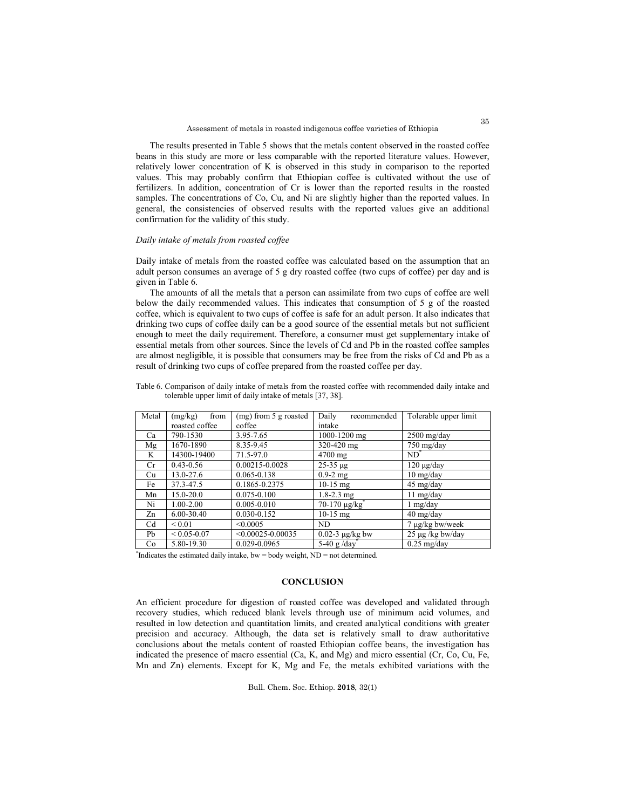The results presented in Table 5 shows that the metals content observed in the roasted coffee beans in this study are more or less comparable with the reported literature values. However, relatively lower concentration of K is observed in this study in comparison to the reported values. This may probably confirm that Ethiopian coffee is cultivated without the use of fertilizers. In addition, concentration of Cr is lower than the reported results in the roasted samples. The concentrations of Co, Cu, and Ni are slightly higher than the reported values. In general, the consistencies of observed results with the reported values give an additional confirmation for the validity of this study.

## *Daily intake of metals from roasted coffee*

Daily intake of metals from the roasted coffee was calculated based on the assumption that an adult person consumes an average of 5 g dry roasted coffee (two cups of coffee) per day and is given in Table 6.

The amounts of all the metals that a person can assimilate from two cups of coffee are well below the daily recommended values. This indicates that consumption of 5 g of the roasted coffee, which is equivalent to two cups of coffee is safe for an adult person. It also indicates that drinking two cups of coffee daily can be a good source of the essential metals but not sufficient enough to meet the daily requirement. Therefore, a consumer must get supplementary intake of essential metals from other sources. Since the levels of Cd and Pb in the roasted coffee samples are almost negligible, it is possible that consumers may be free from the risks of Cd and Pb as a result of drinking two cups of coffee prepared from the roasted coffee per day.

| Metal          | (mg/kg)<br>from | (mg) from 5 g roasted    | Daily<br>recommended    | Tolerable upper limit             |  |
|----------------|-----------------|--------------------------|-------------------------|-----------------------------------|--|
|                | roasted coffee  | coffee                   | intake                  |                                   |  |
| Ca             | 790-1530        | 3.95-7.65                | 1000-1200 mg            | $2500$ mg/day                     |  |
| Mg             | 1670-1890       | 8.35-9.45                | 320-420 mg              | $750$ mg/day                      |  |
| K              | 14300-19400     | 71.5-97.0                | 4700 mg                 | $ND^*$                            |  |
| Cr.            | $0.43 - 0.56$   | 0.00215-0.0028           | $25 - 35 \mu g$         | $120 \mu g/day$                   |  |
| Cu             | 13.0-27.6       | $0.065 - 0.138$          | $0.9 - 2$ mg            | $10$ mg/day                       |  |
| Fe             | 37.3-47.5       | 0.1865-0.2375            | $10-15$ mg              | 45 mg/day                         |  |
| Mn             | 15.0-20.0       | $0.075 - 0.100$          | $1.8 - 2.3$ mg          | $11 \text{ mg/day}$               |  |
| Ni             | $1.00 - 2.00$   | $0.005 - 0.010$          | $70 - 170$ $\mu$ g/kg   | $1$ mg/day                        |  |
| Zn             | $6.00 - 30.40$  | 0.030-0.152              | $10-15$ mg              | $40 \frac{\text{mg}}{\text{day}}$ |  |
| C <sub>d</sub> | ${}_{0.01}$     | < 0.0005                 | ND                      | 7 μg/kg bw/week                   |  |
| Pb             | $< 0.05 - 0.07$ | $\leq 0.00025 - 0.00035$ | $0.02$ -3 $\mu$ g/kg bw | $25 \mu g/kg$ bw/day              |  |
| Co             | 5.80-19.30      | 0.029-0.0965             | $5-40$ g/day            | $0.25$ mg/day                     |  |

Table 6. Comparison of daily intake of metals from the roasted coffee with recommended daily intake and tolerable upper limit of daily intake of metals [37, 38].

\* Indicates the estimated daily intake, bw = body weight, ND = not determined.

## **CONCLUSION**

An efficient procedure for digestion of roasted coffee was developed and validated through recovery studies, which reduced blank levels through use of minimum acid volumes, and resulted in low detection and quantitation limits, and created analytical conditions with greater precision and accuracy. Although, the data set is relatively small to draw authoritative conclusions about the metals content of roasted Ethiopian coffee beans, the investigation has indicated the presence of macro essential (Ca, K, and Mg) and micro essential (Cr, Co, Cu, Fe, Mn and Zn) elements. Except for K, Mg and Fe, the metals exhibited variations with the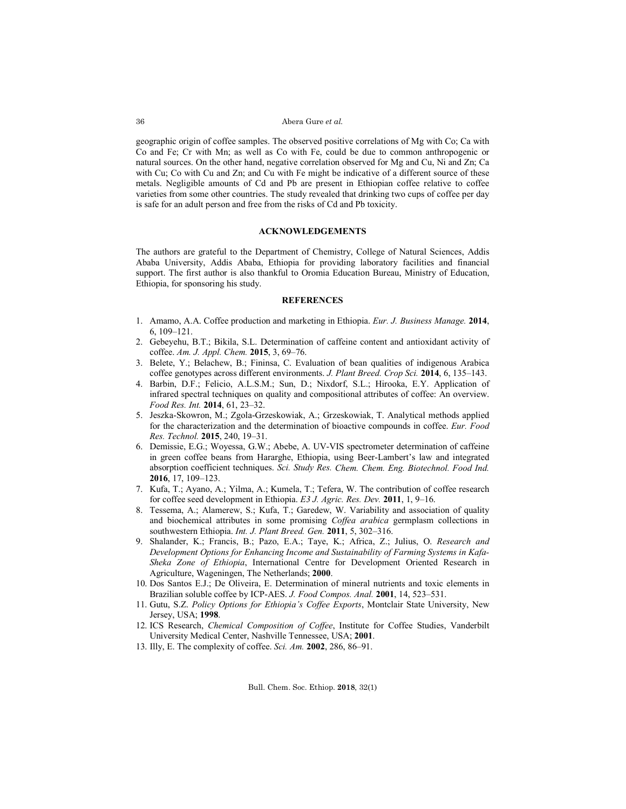geographic origin of coffee samples. The observed positive correlations of Mg with Co; Ca with Co and Fe; Cr with Mn; as well as Co with Fe, could be due to common anthropogenic or natural sources. On the other hand, negative correlation observed for Mg and Cu, Ni and Zn; Ca with Cu; Co with Cu and Zn; and Cu with Fe might be indicative of a different source of these metals. Negligible amounts of Cd and Pb are present in Ethiopian coffee relative to coffee varieties from some other countries. The study revealed that drinking two cups of coffee per day is safe for an adult person and free from the risks of Cd and Pb toxicity.

## **ACKNOWLEDGEMENTS**

The authors are grateful to the Department of Chemistry, College of Natural Sciences, Addis Ababa University, Addis Ababa, Ethiopia for providing laboratory facilities and financial support. The first author is also thankful to Oromia Education Bureau, Ministry of Education, Ethiopia, for sponsoring his study.

#### **REFERENCES**

- 1. Amamo, A.A. Coffee production and marketing in Ethiopia. *Eur. J. Business Manage.* **2014**, 6, 109–121.
- 2. Gebeyehu, B.T.; Bikila, S.L. Determination of caffeine content and antioxidant activity of coffee. *Am. J. Appl. Chem.* **2015**, 3, 69–76.
- 3. Belete, Y.; Belachew, B.; Fininsa, C. Evaluation of bean qualities of indigenous Arabica coffee genotypes across different environments. *J. Plant Breed. Crop Sci.* **2014**, 6, 135–143.
- 4. Barbin, D.F.; Felicio, A.L.S.M.; Sun, D.; Nixdorf, S.L.; Hirooka, E.Y. Application of infrared spectral techniques on quality and compositional attributes of coffee: An overview. *Food Res. Int.* **2014**, 61, 23–32.
- 5. Jeszka-Skowron, M.; Zgola-Grzeskowiak, A.; Grzeskowiak, T. Analytical methods applied for the characterization and the determination of bioactive compounds in coffee. *Eur. Food Res. Technol.* **2015**, 240, 19–31.
- 6. Demissie, E.G.; Woyessa, G.W.; Abebe, A. UV-VIS spectrometer determination of caffeine in green coffee beans from Hararghe, Ethiopia, using Beer-Lambert's law and integrated absorption coefficient techniques. *Sci. Study Res. Chem. Chem. Eng. Biotechnol. Food Ind.* **2016**, 17, 109–123.
- 7. Kufa, T.; Ayano, A.; Yilma, A.; Kumela, T.; Tefera, W. The contribution of coffee research for coffee seed development in Ethiopia. *E3 J. Agric. Res. Dev.* **2011**, 1, 9–16.
- 8. Tessema, A.; Alamerew, S.; Kufa, T.; Garedew, W. Variability and association of quality and biochemical attributes in some promising *Coffea arabica* germplasm collections in southwestern Ethiopia. *Int. J. Plant Breed. Gen.* **2011**, 5, 302–316.
- 9. Shalander, K.; Francis, B.; Pazo, E.A.; Taye, K.; Africa, Z.; Julius, O. *Research and Development Options for Enhancing Income and Sustainability of Farming Systems in Kafa-Sheka Zone of Ethiopia*, International Centre for Development Oriented Research in Agriculture, Wageningen, The Netherlands; **2000**.
- 10. Dos Santos E.J.; De Oliveira, E. Determination of mineral nutrients and toxic elements in Brazilian soluble coffee by ICP-AES. *J. Food Compos. Anal.* **2001**, 14, 523–531.
- 11. Gutu, S.Z. *Policy Options for Ethiopia's Coffee Exports*, Montclair State University, New Jersey, USA; **1998**.
- 12. ICS Research, *Chemical Composition of Coffee*, Institute for Coffee Studies, Vanderbilt University Medical Center, Nashville Tennessee, USA; **2001**.
- 13. Illy, E. The complexity of coffee. *Sci. Am.* **2002**, 286, 86–91.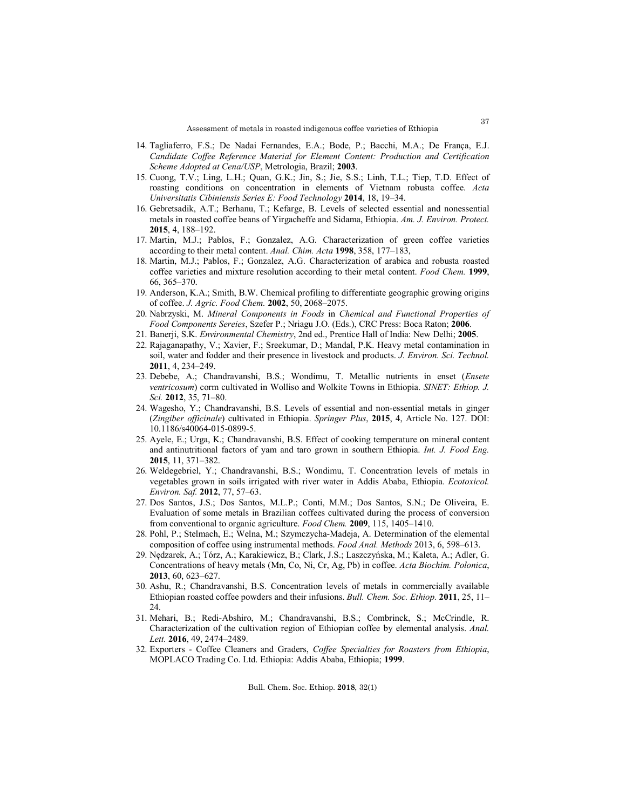- 14. Tagliaferro, F.S.; De Nadai Fernandes, E.A.; Bode, P.; Bacchi, M.A.; De França, E.J. *Candidate Coffee Reference Material for Element Content: Production and Certification Scheme Adopted at Cena/USP*, Metrologia, Brazil; **2003**.
- 15. Cuong, T.V.; Ling, L.H.; Quan, G.K.; Jin, S.; Jie, S.S.; Linh, T.L.; Tiep, T.D. Effect of roasting conditions on concentration in elements of Vietnam robusta coffee. *Acta Universitatis Cibiniensis Series E: Food Technology* **2014**, 18, 19–34.
- 16. Gebretsadik, A.T.; Berhanu, T.; Kefarge, B. Levels of selected essential and nonessential metals in roasted coffee beans of Yirgacheffe and Sidama, Ethiopia. *Am. J. Environ. Protect.* **2015**, 4, 188–192.
- 17. Martin, M.J.; Pablos, F.; Gonzalez, A.G. Characterization of green coffee varieties according to their metal content. *Anal. Chim. Acta* **1998**, 358, 177–183,
- 18. Martin, M.J.; Pablos, F.; Gonzalez, A.G. Characterization of arabica and robusta roasted coffee varieties and mixture resolution according to their metal content. *Food Chem.* **1999**, 66, 365–370.
- 19. Anderson, K.A.; Smith, B.W. Chemical profiling to differentiate geographic growing origins of coffee. *J. Agric. Food Chem.* **2002**, 50, 2068–2075.
- 20. Nabrzyski, M. *Mineral Components in Foods* in *Chemical and Functional Properties of Food Components Sereies*, Szefer P.; Nriagu J.O. (Eds.), CRC Press: Boca Raton; **2006**.
- 21. Banerji, S.K. *Environmental Chemistry*, 2nd ed., Prentice Hall of India: New Delhi; **2005**.
- 22. Rajaganapathy, V.; Xavier, F.; Sreekumar, D.; Mandal, P.K. Heavy metal contamination in soil, water and fodder and their presence in livestock and products. *J. Environ. Sci. Technol.* **2011**, 4, 234–249.
- 23. Debebe, A.; Chandravanshi, B.S.; Wondimu, T. Metallic nutrients in enset (*Ensete ventricosum*) corm cultivated in Wolliso and Wolkite Towns in Ethiopia. *SINET: Ethiop. J. Sci.* **2012**, 35, 71–80.
- 24. Wagesho, Y.; Chandravanshi, B.S. Levels of essential and non-essential metals in ginger (*Zingiber officinale*) cultivated in Ethiopia. *Springer Plus*, **2015**, 4, Article No. 127. DOI: 10.1186/s40064-015-0899-5.
- 25. Ayele, E.; Urga, K.; Chandravanshi, B.S. Effect of cooking temperature on mineral content and antinutritional factors of yam and taro grown in southern Ethiopia. *Int. J. Food Eng.* **2015**, 11, 371–382.
- 26. Weldegebriel, Y.; Chandravanshi, B.S.; Wondimu, T. Concentration levels of metals in vegetables grown in soils irrigated with river water in Addis Ababa, Ethiopia. *Ecotoxicol. Environ. Saf.* **2012**, 77, 57–63.
- 27. Dos Santos, J.S.; Dos Santos, M.L.P.; Conti, M.M.; Dos Santos, S.N.; De Oliveira, E. Evaluation of some metals in Brazilian coffees cultivated during the process of conversion from conventional to organic agriculture. *Food Chem.* **2009**, 115, 1405–1410.
- 28. Pohl, P.; Stelmach, E.; Welna, M.; Szymczycha-Madeja, A. Determination of the elemental composition of coffee using instrumental methods. *Food Anal. Methods* 2013, 6, 598–613.
- 29. Nędzarek, A.; Tórz, A.; Karakiewicz, B.; Clark, J.S.; Laszczyńska, M.; Kaleta, A.; Adler, G. Concentrations of heavy metals (Mn, Co, Ni, Cr, Ag, Pb) in coffee. *Acta Biochim. Polonica*, **2013**, 60, 623–627.
- 30. Ashu, R.; Chandravanshi, B.S. Concentration levels of metals in commercially available Ethiopian roasted coffee powders and their infusions. *Bull. Chem. Soc. Ethiop.* **2011**, 25, 11– 24.
- 31. Mehari, B.; Redi-Abshiro, M.; Chandravanshi, B.S.; Combrinck, S.; McCrindle, R. Characterization of the cultivation region of Ethiopian coffee by elemental analysis. *Anal. Lett.* **2016**, 49, 2474–2489.
- 32. Exporters Coffee Cleaners and Graders, *Coffee Specialties for Roasters from Ethiopia*, MOPLACO Trading Co. Ltd. Ethiopia: Addis Ababa, Ethiopia; **1999**.